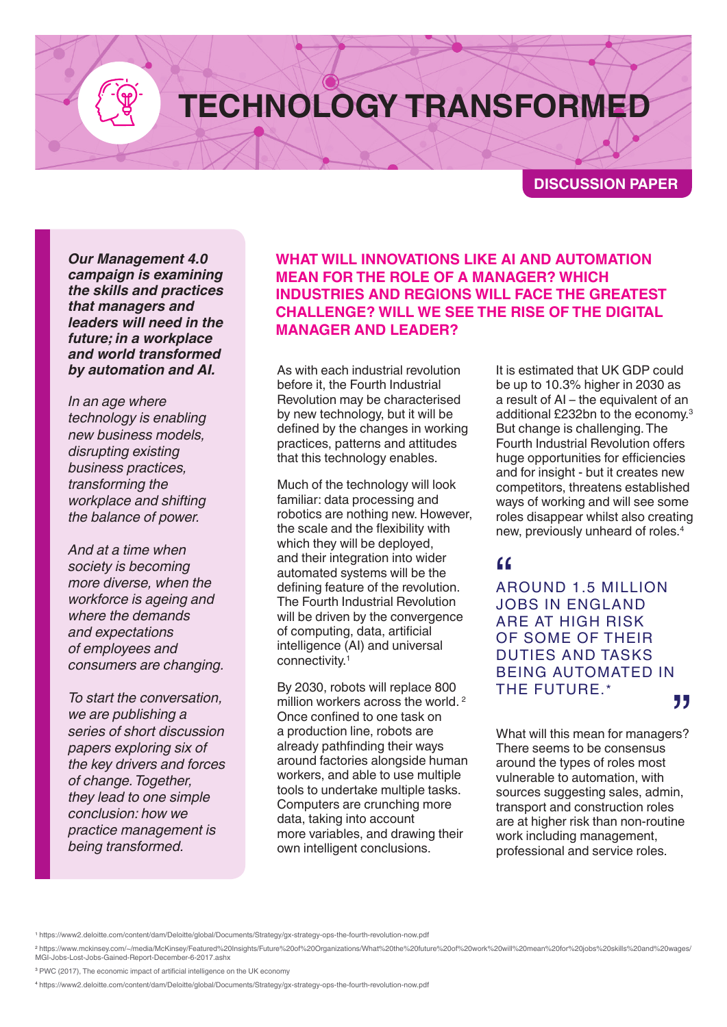## **TECHNOLOGY TRANSFORMED**

**DISCUSSION PAPER**

*Our Management 4.0 campaign is examining the skills and practices that managers and leaders will need in the future; in a workplace and world transformed by automation and AI.*

*In an age where technology is enabling new business models, disrupting existing business practices, transforming the workplace and shifting the balance of power.*

*And at a time when society is becoming more diverse, when the workforce is ageing and where the demands and expectations of employees and consumers are changing.*

*To start the conversation, we are publishing a series of short discussion papers exploring six of the key drivers and forces of change. Together, they lead to one simple conclusion: how we practice management is being transformed.*

**WHAT WILL INNOVATIONS LIKE AI AND AUTOMATION MEAN FOR THE ROLE OF A MANAGER? WHICH INDUSTRIES AND REGIONS WILL FACE THE GREATEST CHALLENGE? WILL WE SEE THE RISE OF THE DIGITAL MANAGER AND LEADER?** 

As with each industrial revolution before it, the Fourth Industrial Revolution may be characterised by new technology, but it will be defined by the changes in working practices, patterns and attitudes that this technology enables.

Much of the technology will look familiar: data processing and robotics are nothing new. However, the scale and the flexibility with which they will be deployed, and their integration into wider automated systems will be the defining feature of the revolution. The Fourth Industrial Revolution will be driven by the convergence of computing, data, artificial intelligence (AI) and universal connectivity.1

By 2030, robots will replace 800 million workers across the world.<sup>2</sup> Once confined to one task on a production line, robots are already pathfinding their ways around factories alongside human workers, and able to use multiple tools to undertake multiple tasks. Computers are crunching more data, taking into account more variables, and drawing their own intelligent conclusions.

It is estimated that UK GDP could be up to 10.3% higher in 2030 as a result of AI – the equivalent of an additional £232bn to the economy.3 But change is challenging. The Fourth Industrial Revolution offers huge opportunities for efficiencies and for insight - but it creates new competitors, threatens established ways of working and will see some roles disappear whilst also creating new, previously unheard of roles.4

66<br>AF<br>JC AROUND 1.5 MILLION JOBS IN ENGLAND ARE AT HIGH RISK OF SOME OF THEIR DUTIES AND TASKS BEING AUTOMATED IN THE FUTURE.\*

What will this mean for managers? There seems to be consensus around the types of roles most vulnerable to automation, with sources suggesting sales, admin, transport and construction roles are at higher risk than non-routine work including management, professional and service roles. **77**<br>rs?

<sup>2</sup> https://www.mckinsey.com/~/media/McKinsey/Featured%20Insights/Future%20of%20Organizations/What%20the%20future%20of%20work%20will%20mean%20for%20jobs%20skills%20and%20wages/ MGI-Jobs-Lost-Jobs-Gained-Report-December-6-2017.ash

<sup>3</sup> PWC (2017), The economic impact of artificial intelligence on the UK economy

<sup>4</sup> https://www2.deloitte.com/content/dam/Deloitte/global/Documents/Strategy/gx-strategy-ops-the-fourth-revolution-now.pdf

<sup>1</sup> https://www2.deloitte.com/content/dam/Deloitte/global/Documents/Strategy/gx-strategy-ops-the-fourth-revolution-now.pdf